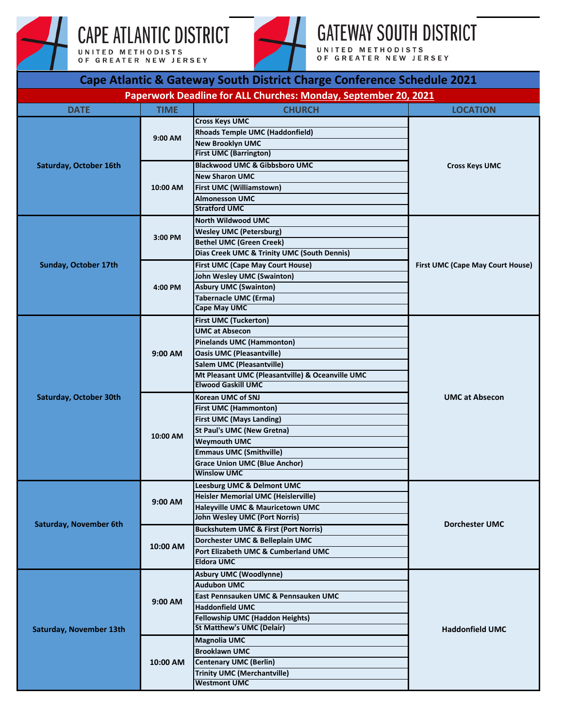

## CAPE ATLANTIC DISTRICT UNITED METHODISTS<br>OF GREATER NEW JERSEY



## **GATEWAY SOUTH DISTRICT**

UNITED METHODISTS<br>OF GREATER NEW JERSEY

| Cape Atlantic & Gateway South District Charge Conference Schedule 2021 |             |                                                                 |                                  |  |  |
|------------------------------------------------------------------------|-------------|-----------------------------------------------------------------|----------------------------------|--|--|
|                                                                        |             | Paperwork Deadline for ALL Churches: Monday, September 20, 2021 |                                  |  |  |
| <b>DATE</b>                                                            | <b>TIME</b> | <b>CHURCH</b>                                                   | <b>LOCATION</b>                  |  |  |
| Saturday, October 16th                                                 | 9:00 AM     | <b>Cross Keys UMC</b>                                           | <b>Cross Keys UMC</b>            |  |  |
|                                                                        |             | <b>Rhoads Temple UMC (Haddonfield)</b>                          |                                  |  |  |
|                                                                        |             | <b>New Brooklyn UMC</b><br><b>First UMC (Barrington)</b>        |                                  |  |  |
|                                                                        |             | <b>Blackwood UMC &amp; Gibbsboro UMC</b>                        |                                  |  |  |
|                                                                        | 10:00 AM    | <b>New Sharon UMC</b>                                           |                                  |  |  |
|                                                                        |             | <b>First UMC (Williamstown)</b>                                 |                                  |  |  |
|                                                                        |             | <b>Almonesson UMC</b>                                           |                                  |  |  |
|                                                                        |             | <b>Stratford UMC</b>                                            |                                  |  |  |
|                                                                        | 3:00 PM     | <b>North Wildwood UMC</b>                                       | First UMC (Cape May Court House) |  |  |
|                                                                        |             | <b>Wesley UMC (Petersburg)</b>                                  |                                  |  |  |
|                                                                        |             | <b>Bethel UMC (Green Creek)</b>                                 |                                  |  |  |
|                                                                        |             | <b>Dias Creek UMC &amp; Trinity UMC (South Dennis)</b>          |                                  |  |  |
| Sunday, October 17th                                                   | 4:00 PM     | First UMC (Cape May Court House)                                |                                  |  |  |
|                                                                        |             | <b>John Wesley UMC (Swainton)</b>                               |                                  |  |  |
|                                                                        |             | <b>Asbury UMC (Swainton)</b>                                    |                                  |  |  |
|                                                                        |             | <b>Tabernacle UMC (Erma)</b><br><b>Cape May UMC</b>             |                                  |  |  |
|                                                                        |             | <b>First UMC (Tuckerton)</b>                                    |                                  |  |  |
|                                                                        |             | <b>UMC at Absecon</b>                                           | <b>UMC at Absecon</b>            |  |  |
|                                                                        |             | <b>Pinelands UMC (Hammonton)</b>                                |                                  |  |  |
|                                                                        | $9:00$ AM   | <b>Oasis UMC (Pleasantville)</b>                                |                                  |  |  |
|                                                                        |             | <b>Salem UMC (Pleasantville)</b>                                |                                  |  |  |
|                                                                        |             | Mt Pleasant UMC (Pleasantville) & Oceanville UMC                |                                  |  |  |
| Saturday, October 30th                                                 |             | <b>Elwood Gaskill UMC</b>                                       |                                  |  |  |
|                                                                        | 10:00 AM    | Korean UMC of SNJ                                               |                                  |  |  |
|                                                                        |             | <b>First UMC (Hammonton)</b>                                    |                                  |  |  |
|                                                                        |             | <b>First UMC (Mays Landing)</b>                                 |                                  |  |  |
|                                                                        |             | <b>St Paul's UMC (New Gretna)</b><br><b>Weymouth UMC</b>        |                                  |  |  |
|                                                                        |             | <b>Emmaus UMC (Smithville)</b>                                  |                                  |  |  |
|                                                                        |             | <b>Grace Union UMC (Blue Anchor)</b>                            |                                  |  |  |
|                                                                        |             | <b>Winslow UMC</b>                                              |                                  |  |  |
|                                                                        | $9:00$ AM   | Leesburg UMC & Delmont UMC                                      | <b>Dorchester UMC</b>            |  |  |
| <b>Saturday, November 6th</b>                                          |             | <b>Heisler Memorial UMC (Heislerville)</b>                      |                                  |  |  |
|                                                                        |             | Haleyville UMC & Mauricetown UMC                                |                                  |  |  |
|                                                                        |             | <b>John Wesley UMC (Port Norris)</b>                            |                                  |  |  |
|                                                                        | 10:00 AM    | <b>Buckshutem UMC &amp; First (Port Norris)</b>                 |                                  |  |  |
|                                                                        |             | Dorchester UMC & Belleplain UMC                                 |                                  |  |  |
|                                                                        |             | Port Elizabeth UMC & Cumberland UMC<br><b>Eldora UMC</b>        |                                  |  |  |
|                                                                        |             | <b>Asbury UMC (Woodlynne)</b>                                   |                                  |  |  |
|                                                                        | 9:00 AM     | <b>Audubon UMC</b>                                              | <b>Haddonfield UMC</b>           |  |  |
| <b>Saturday, November 13th</b>                                         |             | East Pennsauken UMC & Pennsauken UMC                            |                                  |  |  |
|                                                                        |             | <b>Haddonfield UMC</b>                                          |                                  |  |  |
|                                                                        |             | <b>Fellowship UMC (Haddon Heights)</b>                          |                                  |  |  |
|                                                                        |             | <b>St Matthew's UMC (Delair)</b>                                |                                  |  |  |
|                                                                        | 10:00 AM    | <b>Magnolia UMC</b>                                             |                                  |  |  |
|                                                                        |             | <b>Brooklawn UMC</b>                                            |                                  |  |  |
|                                                                        |             | <b>Centenary UMC (Berlin)</b>                                   |                                  |  |  |
|                                                                        |             | <b>Trinity UMC (Merchantville)</b>                              |                                  |  |  |
|                                                                        |             | <b>Westmont UMC</b>                                             |                                  |  |  |